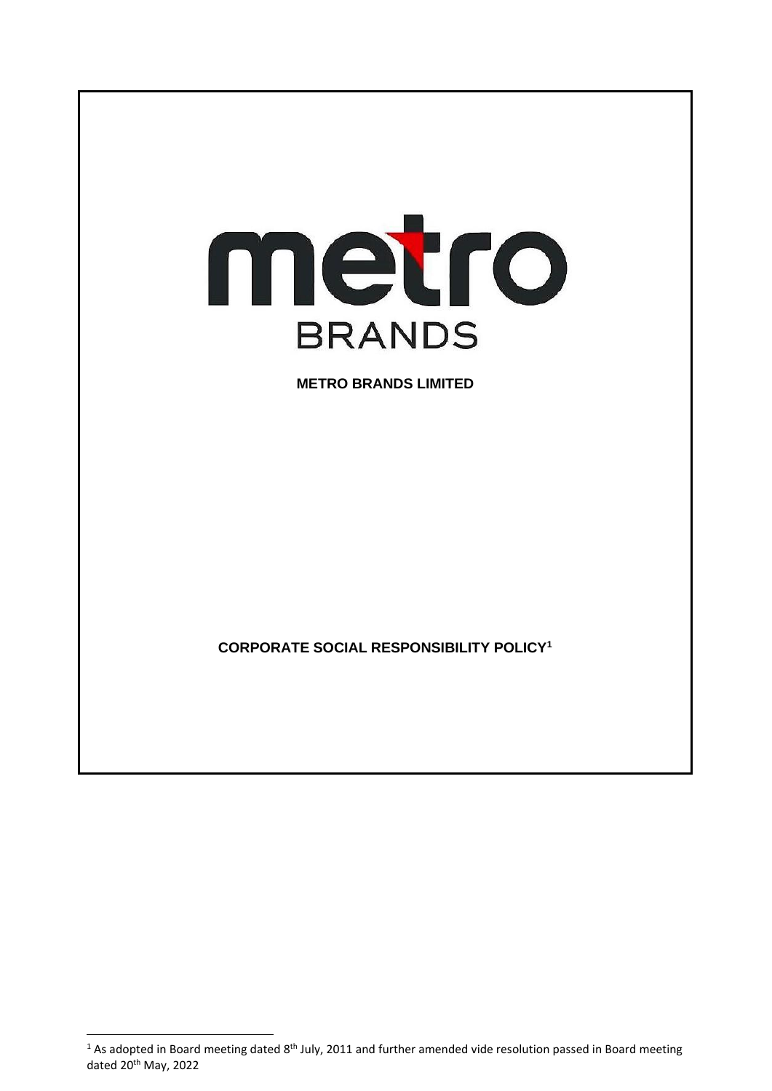

<sup>&</sup>lt;sup>1</sup> As adopted in Board meeting dated 8<sup>th</sup> July, 2011 and further amended vide resolution passed in Board meeting dated 20<sup>th</sup> May, 2022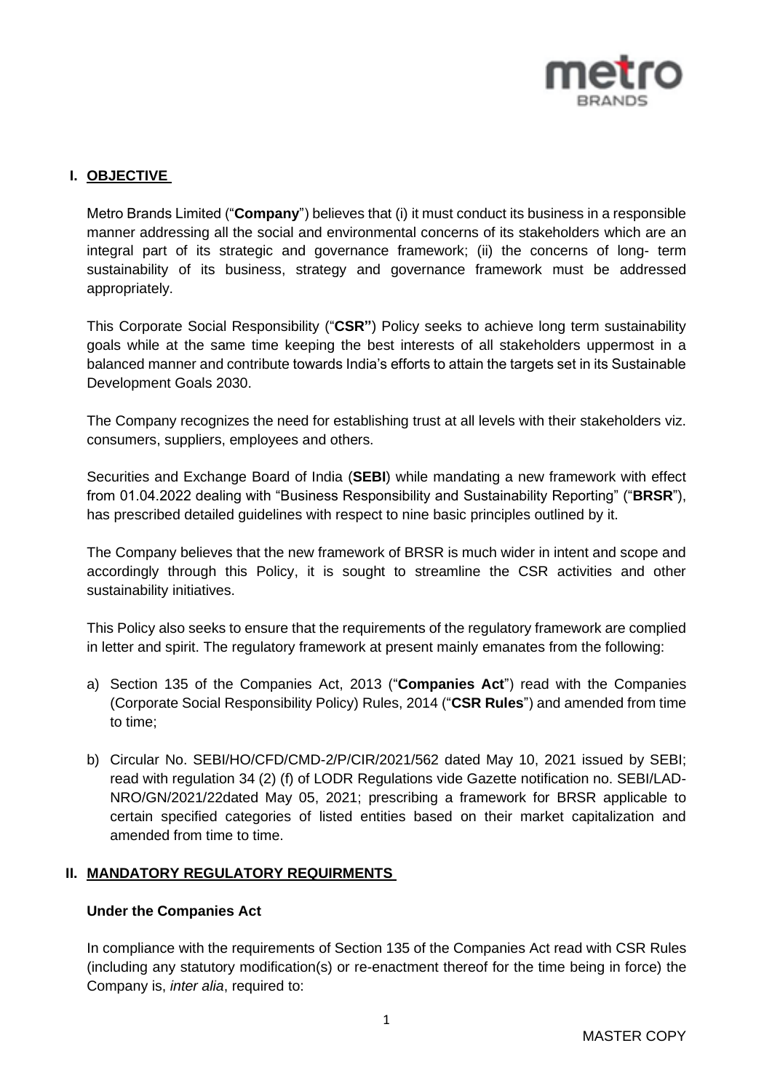

## **I. OBJECTIVE**

Metro Brands Limited ("**Company**") believes that (i) it must conduct its business in a responsible manner addressing all the social and environmental concerns of its stakeholders which are an integral part of its strategic and governance framework; (ii) the concerns of long- term sustainability of its business, strategy and governance framework must be addressed appropriately.

This Corporate Social Responsibility ("**CSR"**) Policy seeks to achieve long term sustainability goals while at the same time keeping the best interests of all stakeholders uppermost in a balanced manner and contribute towards India's efforts to attain the targets set in its Sustainable Development Goals 2030.

The Company recognizes the need for establishing trust at all levels with their stakeholders viz. consumers, suppliers, employees and others.

Securities and Exchange Board of India (**SEBI**) while mandating a new framework with effect from 01.04.2022 dealing with "Business Responsibility and Sustainability Reporting" ("**BRSR**"), has prescribed detailed guidelines with respect to nine basic principles outlined by it.

The Company believes that the new framework of BRSR is much wider in intent and scope and accordingly through this Policy, it is sought to streamline the CSR activities and other sustainability initiatives.

This Policy also seeks to ensure that the requirements of the regulatory framework are complied in letter and spirit. The regulatory framework at present mainly emanates from the following:

- a) Section 135 of the Companies Act, 2013 ("**Companies Act**") read with the Companies (Corporate Social Responsibility Policy) Rules, 2014 ("**CSR Rules**") and amended from time to time;
- b) Circular No. SEBI/HO/CFD/CMD-2/P/CIR/2021/562 dated May 10, 2021 issued by SEBI; read with regulation 34 (2) (f) of LODR Regulations vide Gazette notification no. SEBI/LAD-NRO/GN/2021/22dated May 05, 2021; prescribing a framework for BRSR applicable to certain specified categories of listed entities based on their market capitalization and amended from time to time.

### **II. MANDATORY REGULATORY REQUIRMENTS**

#### **Under the Companies Act**

In compliance with the requirements of Section 135 of the Companies Act read with CSR Rules (including any statutory modification(s) or re-enactment thereof for the time being in force) the Company is, *inter alia*, required to: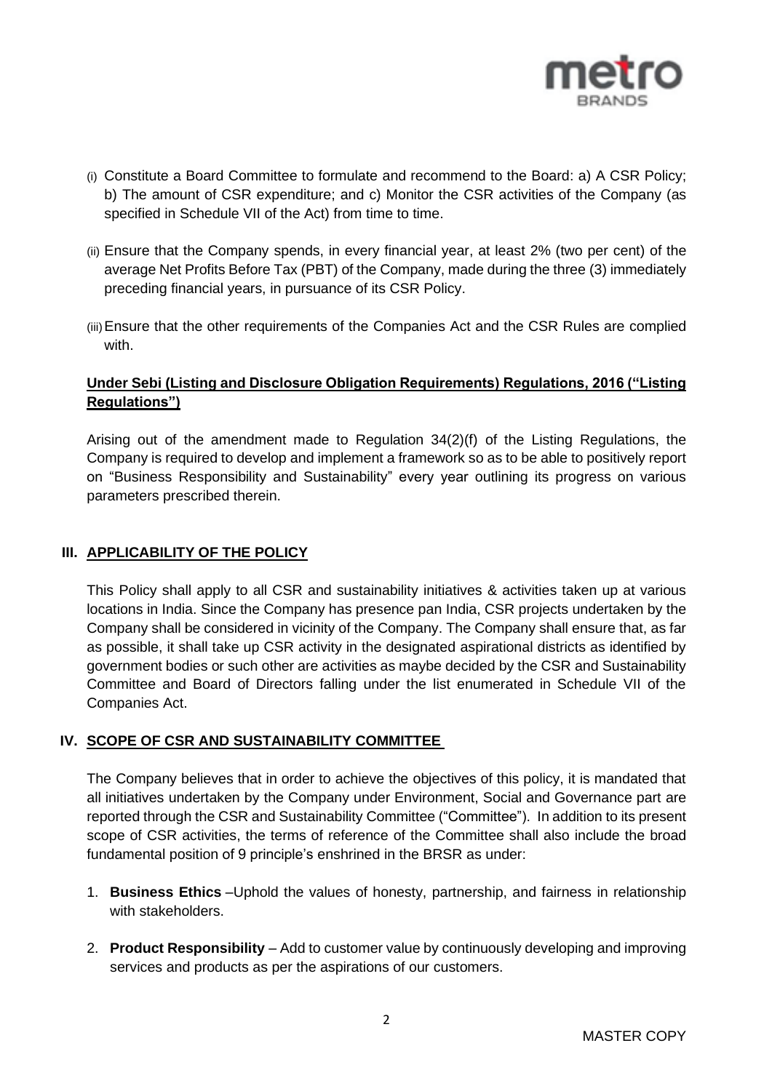

- (i) Constitute a Board Committee to formulate and recommend to the Board: a) A CSR Policy; b) The amount of CSR expenditure; and c) Monitor the CSR activities of the Company (as specified in Schedule VII of the Act) from time to time.
- (ii) Ensure that the Company spends, in every financial year, at least 2% (two per cent) of the average Net Profits Before Tax (PBT) of the Company, made during the three (3) immediately preceding financial years, in pursuance of its CSR Policy.
- (iii)Ensure that the other requirements of the Companies Act and the CSR Rules are complied with.

# **Under Sebi (Listing and Disclosure Obligation Requirements) Regulations, 2016 ("Listing Regulations")**

Arising out of the amendment made to Regulation 34(2)(f) of the Listing Regulations, the Company is required to develop and implement a framework so as to be able to positively report on "Business Responsibility and Sustainability" every year outlining its progress on various parameters prescribed therein.

# **III. APPLICABILITY OF THE POLICY**

This Policy shall apply to all CSR and sustainability initiatives & activities taken up at various locations in India. Since the Company has presence pan India, CSR projects undertaken by the Company shall be considered in vicinity of the Company. The Company shall ensure that, as far as possible, it shall take up CSR activity in the designated aspirational districts as identified by government bodies or such other are activities as maybe decided by the CSR and Sustainability Committee and Board of Directors falling under the list enumerated in Schedule VII of the Companies Act.

### **IV. SCOPE OF CSR AND SUSTAINABILITY COMMITTEE**

The Company believes that in order to achieve the objectives of this policy, it is mandated that all initiatives undertaken by the Company under Environment, Social and Governance part are reported through the CSR and Sustainability Committee ("Committee"). In addition to its present scope of CSR activities, the terms of reference of the Committee shall also include the broad fundamental position of 9 principle's enshrined in the BRSR as under:

- 1. **Business Ethics** –Uphold the values of honesty, partnership, and fairness in relationship with stakeholders.
- 2. **Product Responsibility** Add to customer value by continuously developing and improving services and products as per the aspirations of our customers.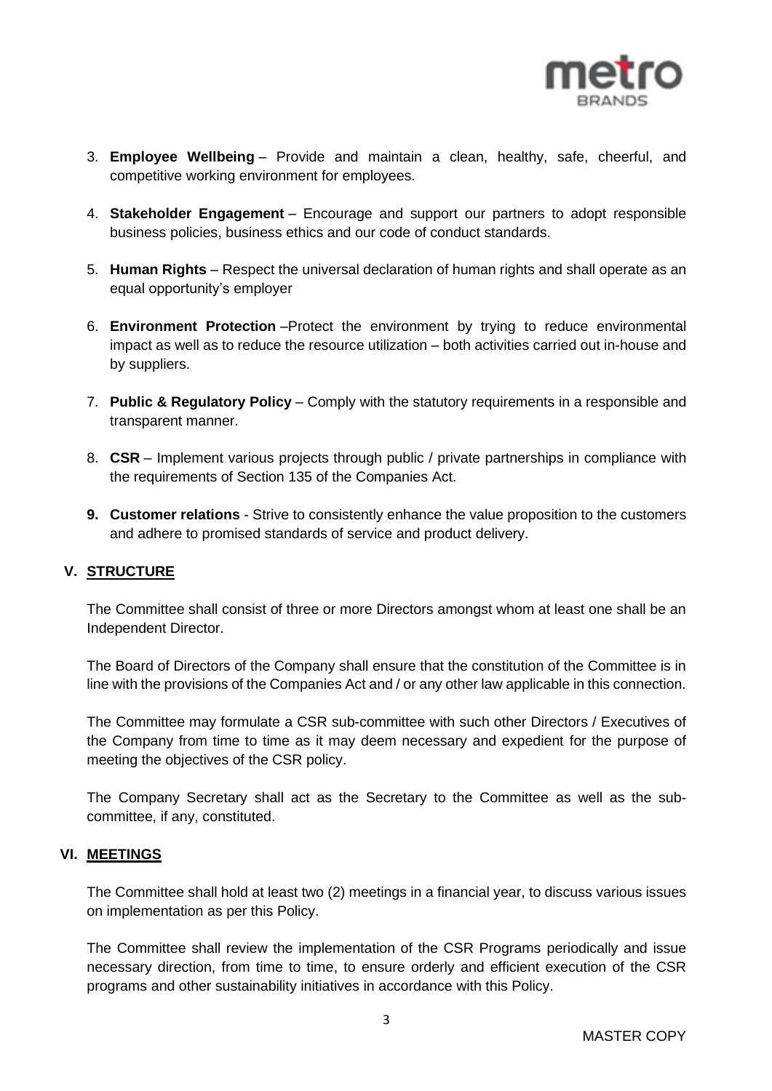

- 3. **Employee Wellbeing** Provide and maintain a clean, healthy, safe, cheerful, and competitive working environment for employees.
- 4. **Stakeholder Engagement** Encourage and support our partners to adopt responsible business policies, business ethics and our code of conduct standards.
- 5. **Human Rights** Respect the universal declaration of human rights and shall operate as an equal opportunity's employer
- 6. **Environment Protection** –Protect the environment by trying to reduce environmental impact as well as to reduce the resource utilization – both activities carried out in-house and by suppliers.
- 7. **Public & Regulatory Policy** Comply with the statutory requirements in a responsible and transparent manner.
- 8. **CSR** Implement various projects through public / private partnerships in compliance with the requirements of Section 135 of the Companies Act.
- **9. Customer relations** Strive to consistently enhance the value proposition to the customers and adhere to promised standards of service and product delivery.

### **V. STRUCTURE**

The Committee shall consist of three or more Directors amongst whom at least one shall be an Independent Director.

The Board of Directors of the Company shall ensure that the constitution of the Committee is in line with the provisions of the Companies Act and / or any other law applicable in this connection.

The Committee may formulate a CSR sub-committee with such other Directors / Executives of the Company from time to time as it may deem necessary and expedient for the purpose of meeting the objectives of the CSR policy.

The Company Secretary shall act as the Secretary to the Committee as well as the subcommittee, if any, constituted.

### **VI. MEETINGS**

The Committee shall hold at least two (2) meetings in a financial year, to discuss various issues on implementation as per this Policy.

The Committee shall review the implementation of the CSR Programs periodically and issue necessary direction, from time to time, to ensure orderly and efficient execution of the CSR programs and other sustainability initiatives in accordance with this Policy.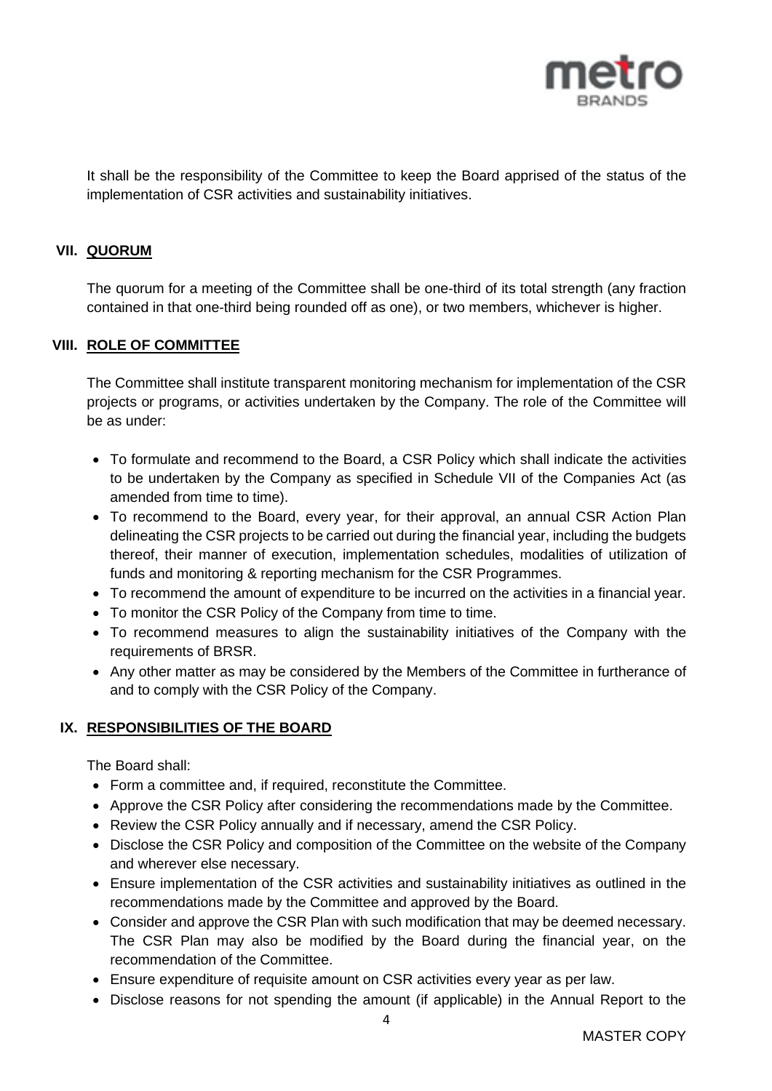

It shall be the responsibility of the Committee to keep the Board apprised of the status of the implementation of CSR activities and sustainability initiatives.

### **VII. QUORUM**

The quorum for a meeting of the Committee shall be one-third of its total strength (any fraction contained in that one-third being rounded off as one), or two members, whichever is higher.

#### **VIII. ROLE OF COMMITTEE**

The Committee shall institute transparent monitoring mechanism for implementation of the CSR projects or programs, or activities undertaken by the Company. The role of the Committee will be as under:

- To formulate and recommend to the Board, a CSR Policy which shall indicate the activities to be undertaken by the Company as specified in Schedule VII of the Companies Act (as amended from time to time).
- To recommend to the Board, every year, for their approval, an annual CSR Action Plan delineating the CSR projects to be carried out during the financial year, including the budgets thereof, their manner of execution, implementation schedules, modalities of utilization of funds and monitoring & reporting mechanism for the CSR Programmes.
- To recommend the amount of expenditure to be incurred on the activities in a financial year.
- To monitor the CSR Policy of the Company from time to time.
- To recommend measures to align the sustainability initiatives of the Company with the requirements of BRSR.
- Any other matter as may be considered by the Members of the Committee in furtherance of and to comply with the CSR Policy of the Company.

### **IX. RESPONSIBILITIES OF THE BOARD**

The Board shall:

- Form a committee and, if required, reconstitute the Committee.
- Approve the CSR Policy after considering the recommendations made by the Committee.
- Review the CSR Policy annually and if necessary, amend the CSR Policy.
- Disclose the CSR Policy and composition of the Committee on the website of the Company and wherever else necessary.
- Ensure implementation of the CSR activities and sustainability initiatives as outlined in the recommendations made by the Committee and approved by the Board.
- Consider and approve the CSR Plan with such modification that may be deemed necessary. The CSR Plan may also be modified by the Board during the financial year, on the recommendation of the Committee.
- Ensure expenditure of requisite amount on CSR activities every year as per law.
- Disclose reasons for not spending the amount (if applicable) in the Annual Report to the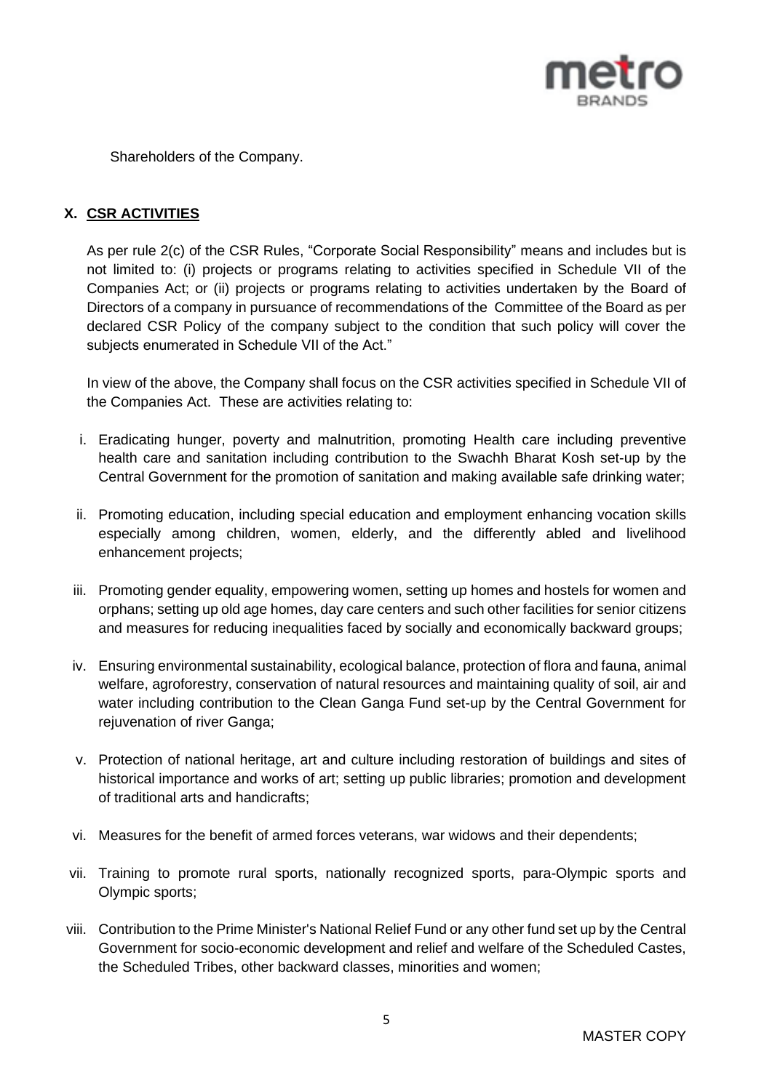

Shareholders of the Company.

# **X. CSR ACTIVITIES**

As per rule 2(c) of the CSR Rules, "Corporate Social Responsibility" means and includes but is not limited to: (i) projects or programs relating to activities specified in Schedule VII of the Companies Act; or (ii) projects or programs relating to activities undertaken by the Board of Directors of a company in pursuance of recommendations of the Committee of the Board as per declared CSR Policy of the company subject to the condition that such policy will cover the subjects enumerated in Schedule VII of the Act."

In view of the above, the Company shall focus on the CSR activities specified in Schedule VII of the Companies Act. These are activities relating to:

- i. Eradicating hunger, poverty and malnutrition, promoting Health care including preventive health care and sanitation including contribution to the Swachh Bharat Kosh set-up by the Central Government for the promotion of sanitation and making available safe drinking water;
- ii. Promoting education, including special education and employment enhancing vocation skills especially among children, women, elderly, and the differently abled and livelihood enhancement projects;
- iii. Promoting gender equality, empowering women, setting up homes and hostels for women and orphans; setting up old age homes, day care centers and such other facilities for senior citizens and measures for reducing inequalities faced by socially and economically backward groups;
- iv. Ensuring environmental sustainability, ecological balance, protection of flora and fauna, animal welfare, agroforestry, conservation of natural resources and maintaining quality of soil, air and water including contribution to the Clean Ganga Fund set-up by the Central Government for rejuvenation of river Ganga;
- v. Protection of national heritage, art and culture including restoration of buildings and sites of historical importance and works of art; setting up public libraries; promotion and development of traditional arts and handicrafts;
- vi. Measures for the benefit of armed forces veterans, war widows and their dependents;
- vii. Training to promote rural sports, nationally recognized sports, para-Olympic sports and Olympic sports;
- viii. Contribution to the Prime Minister's National Relief Fund or any other fund set up by the Central Government for socio-economic development and relief and welfare of the Scheduled Castes, the Scheduled Tribes, other backward classes, minorities and women;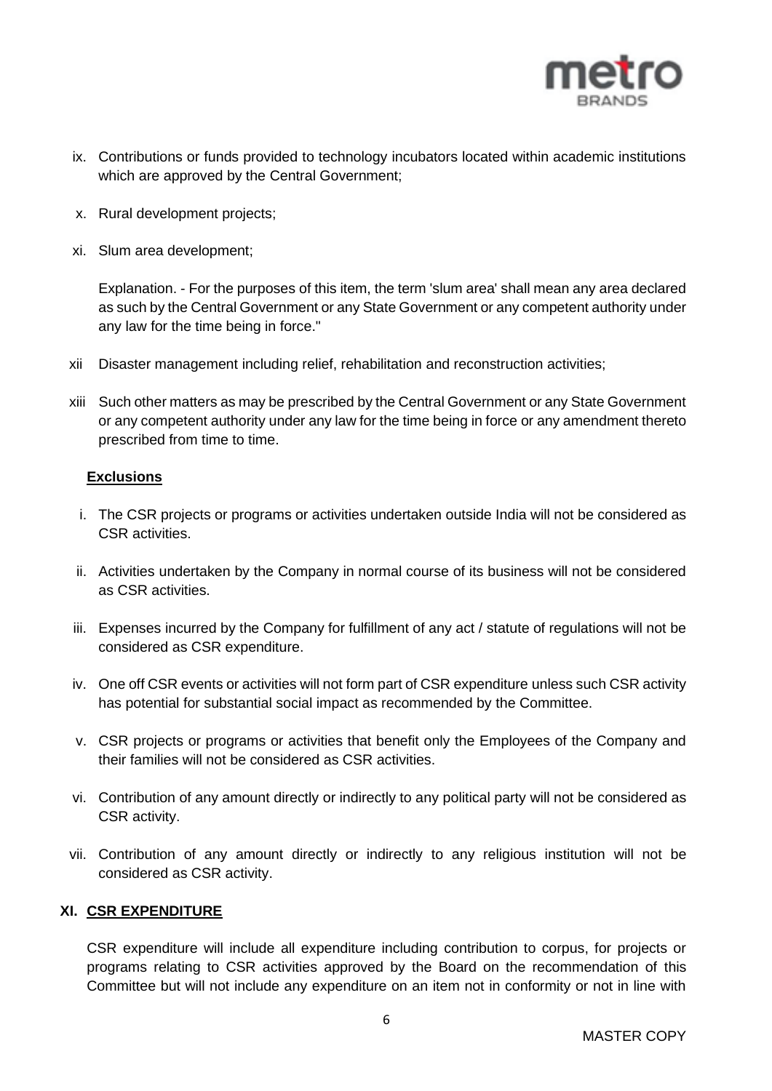

- ix. Contributions or funds provided to technology incubators located within academic institutions which are approved by the Central Government;
- x. Rural development projects;
- xi. Slum area development;

Explanation. - For the purposes of this item, the term 'slum area' shall mean any area declared as such by the Central Government or any State Government or any competent authority under any law for the time being in force."

- xii Disaster management including relief, rehabilitation and reconstruction activities;
- xiii Such other matters as may be prescribed by the Central Government or any State Government or any competent authority under any law for the time being in force or any amendment thereto prescribed from time to time.

### **Exclusions**

- i. The CSR projects or programs or activities undertaken outside India will not be considered as CSR activities.
- ii. Activities undertaken by the Company in normal course of its business will not be considered as CSR activities.
- iii. Expenses incurred by the Company for fulfillment of any act / statute of regulations will not be considered as CSR expenditure.
- iv. One off CSR events or activities will not form part of CSR expenditure unless such CSR activity has potential for substantial social impact as recommended by the Committee.
- v. CSR projects or programs or activities that benefit only the Employees of the Company and their families will not be considered as CSR activities.
- vi. Contribution of any amount directly or indirectly to any political party will not be considered as CSR activity.
- vii. Contribution of any amount directly or indirectly to any religious institution will not be considered as CSR activity.

### **XI. CSR EXPENDITURE**

CSR expenditure will include all expenditure including contribution to corpus, for projects or programs relating to CSR activities approved by the Board on the recommendation of this Committee but will not include any expenditure on an item not in conformity or not in line with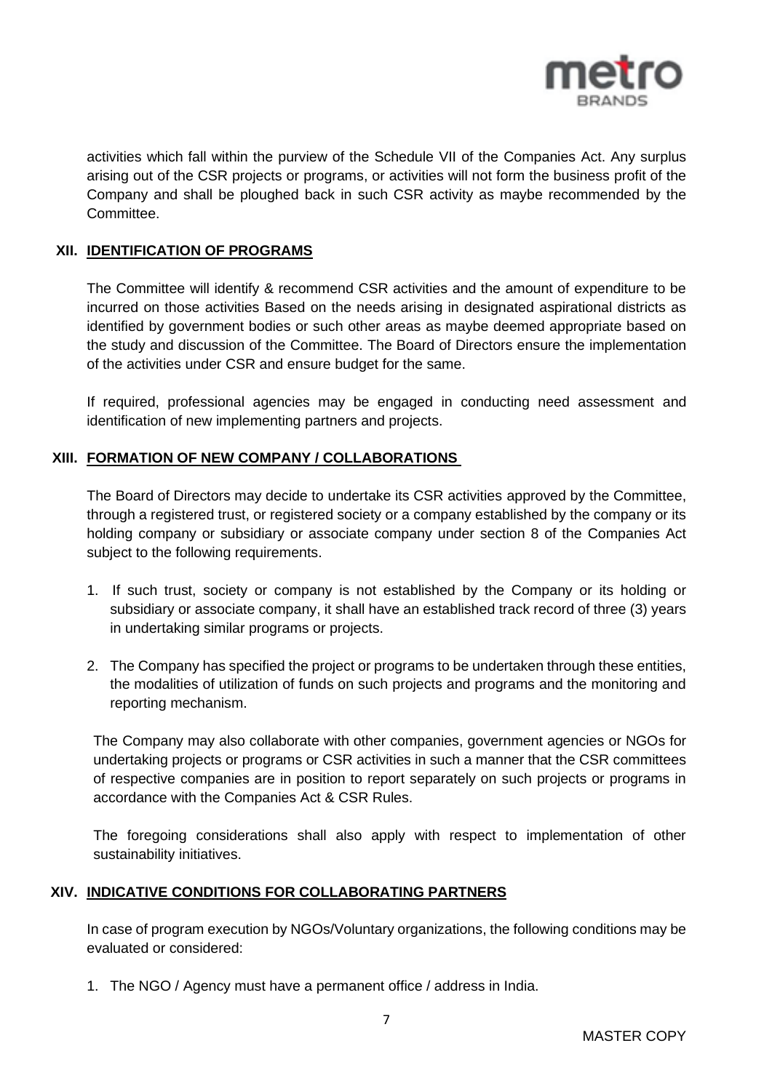

activities which fall within the purview of the Schedule VII of the Companies Act. Any surplus arising out of the CSR projects or programs, or activities will not form the business profit of the Company and shall be ploughed back in such CSR activity as maybe recommended by the Committee.

### **XII. IDENTIFICATION OF PROGRAMS**

The Committee will identify & recommend CSR activities and the amount of expenditure to be incurred on those activities Based on the needs arising in designated aspirational districts as identified by government bodies or such other areas as maybe deemed appropriate based on the study and discussion of the Committee. The Board of Directors ensure the implementation of the activities under CSR and ensure budget for the same.

If required, professional agencies may be engaged in conducting need assessment and identification of new implementing partners and projects.

### **XIII. FORMATION OF NEW COMPANY / COLLABORATIONS**

The Board of Directors may decide to undertake its CSR activities approved by the Committee, through a registered trust, or registered society or a company established by the company or its holding company or subsidiary or associate company under section 8 of the Companies Act subject to the following requirements.

- 1. If such trust, society or company is not established by the Company or its holding or subsidiary or associate company, it shall have an established track record of three (3) years in undertaking similar programs or projects.
- 2. The Company has specified the project or programs to be undertaken through these entities, the modalities of utilization of funds on such projects and programs and the monitoring and reporting mechanism.

The Company may also collaborate with other companies, government agencies or NGOs for undertaking projects or programs or CSR activities in such a manner that the CSR committees of respective companies are in position to report separately on such projects or programs in accordance with the Companies Act & CSR Rules.

The foregoing considerations shall also apply with respect to implementation of other sustainability initiatives.

### **XIV. INDICATIVE CONDITIONS FOR COLLABORATING PARTNERS**

In case of program execution by NGOs/Voluntary organizations, the following conditions may be evaluated or considered:

1. The NGO / Agency must have a permanent office / address in India.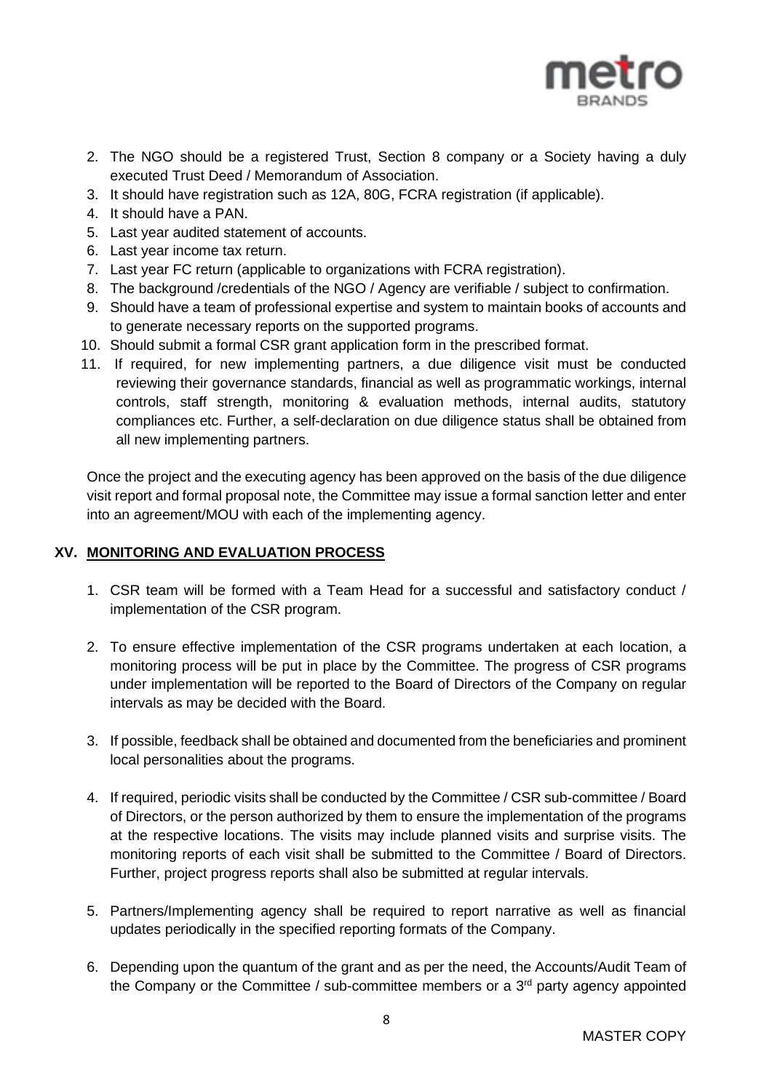

- 2. The NGO should be a registered Trust, Section 8 company or a Society having a duly executed Trust Deed / Memorandum of Association.
- 3. It should have registration such as 12A, 80G, FCRA registration (if applicable).
- 4. It should have a PAN.
- 5. Last year audited statement of accounts.
- 6. Last year income tax return.
- 7. Last year FC return (applicable to organizations with FCRA registration).
- 8. The background /credentials of the NGO / Agency are verifiable / subject to confirmation.
- 9. Should have a team of professional expertise and system to maintain books of accounts and to generate necessary reports on the supported programs.
- 10. Should submit a formal CSR grant application form in the prescribed format.
- 11. If required, for new implementing partners, a due diligence visit must be conducted reviewing their governance standards, financial as well as programmatic workings, internal controls, staff strength, monitoring & evaluation methods, internal audits, statutory compliances etc. Further, a self-declaration on due diligence status shall be obtained from all new implementing partners.

Once the project and the executing agency has been approved on the basis of the due diligence visit report and formal proposal note, the Committee may issue a formal sanction letter and enter into an agreement/MOU with each of the implementing agency.

### **XV. MONITORING AND EVALUATION PROCESS**

- 1. CSR team will be formed with a Team Head for a successful and satisfactory conduct / implementation of the CSR program.
- 2. To ensure effective implementation of the CSR programs undertaken at each location, a monitoring process will be put in place by the Committee. The progress of CSR programs under implementation will be reported to the Board of Directors of the Company on regular intervals as may be decided with the Board.
- 3. If possible, feedback shall be obtained and documented from the beneficiaries and prominent local personalities about the programs.
- 4. If required, periodic visits shall be conducted by the Committee / CSR sub-committee / Board of Directors, or the person authorized by them to ensure the implementation of the programs at the respective locations. The visits may include planned visits and surprise visits. The monitoring reports of each visit shall be submitted to the Committee / Board of Directors. Further, project progress reports shall also be submitted at regular intervals.
- 5. Partners/Implementing agency shall be required to report narrative as well as financial updates periodically in the specified reporting formats of the Company.
- 6. Depending upon the quantum of the grant and as per the need, the Accounts/Audit Team of the Company or the Committee / sub-committee members or a  $3<sup>rd</sup>$  party agency appointed